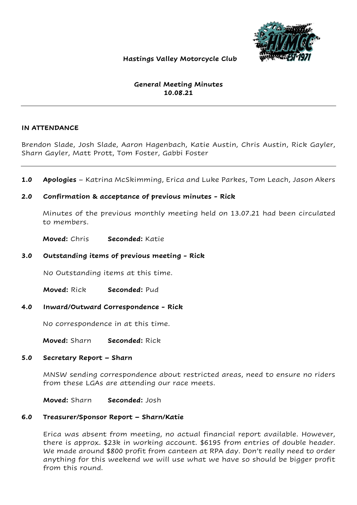

### Hastings Valley Motorcycle Club

# General Meeting Minutes 10.08.21

### IN ATTENDANCE

Brendon Slade, Josh Slade, Aaron Hagenbach, Katie Austin, Chris Austin, Rick Gayler, Sharn Gayler, Matt Prott, Tom Foster, Gabbi Foster

1.0 Apologies – Katrina McSkimming, Erica and Luke Parkes, Tom Leach, Jason Akers

# 2.0 Confirmation & acceptance of previous minutes - Rick

Minutes of the previous monthly meeting held on 13.07.21 had been circulated to members.

Moved: Chris Seconded: Katie

### 3.0 Outstanding items of previous meeting - Rick

No Outstanding items at this time.

Moved: Rick Seconded: Pud

#### 4.0 Inward/Outward Correspondence - Rick

No correspondence in at this time.

Moved: Sharn Seconded: Rick

#### 5.0 Secretary Report – Sharn

MNSW sending correspondence about restricted areas, need to ensure no riders from these LGAs are attending our race meets.

Moved: Sharn Seconded: Josh

#### 6.0 Treasurer/Sponsor Report – Sharn/Katie

Erica was absent from meeting, no actual financial report available. However, there is approx. \$23k in working account. \$6195 from entries of double header. We made around \$800 profit from canteen at RPA day. Don't really need to order anything for this weekend we will use what we have so should be bigger profit from this round.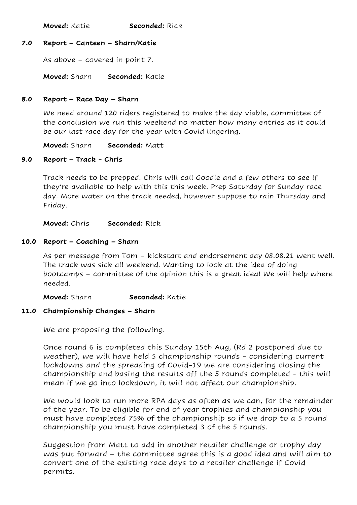Moved: Katie Seconded: Rick

# 7.0 Report – Canteen – Sharn/Katie

As above – covered in point 7.

Moved: Sharn Seconded: Katie

### 8.0 Report – Race Day – Sharn

We need around 120 riders registered to make the day viable, committee of the conclusion we run this weekend no matter how many entries as it could be our last race day for the year with Covid lingering.

Moved: Sharn Seconded: Matt

# 9.0 Report – Track - Chris

Track needs to be prepped. Chris will call Goodie and a few others to see if they're available to help with this this week. Prep Saturday for Sunday race day. More water on the track needed, however suppose to rain Thursday and Friday.

Moved: Chris Seconded: Rick

### 10.0 Report – Coaching – Sharn

As per message from Tom – kickstart and endorsement day 08.08.21 went well. The track was sick all weekend. Wanting to look at the idea of doing bootcamps – committee of the opinion this is a great idea! We will help where needed.

Moved: Sharn Seconded: Katie

# 11.0 Championship Changes – Sharn

We are proposing the following.

Once round 6 is completed this Sunday 15th Aug, (Rd 2 postponed due to weather), we will have held 5 championship rounds - considering current lockdowns and the spreading of Covid-19 we are considering closing the championship and basing the results off the 5 rounds completed - this will mean if we go into lockdown, it will not affect our championship.

We would look to run more RPA days as often as we can, for the remainder of the year. To be eligible for end of year trophies and championship you must have completed 75% of the championship so if we drop to a 5 round championship you must have completed 3 of the 5 rounds.

Suggestion from Matt to add in another retailer challenge or trophy day was put forward – the committee agree this is a good idea and will aim to convert one of the existing race days to a retailer challenge if Covid permits.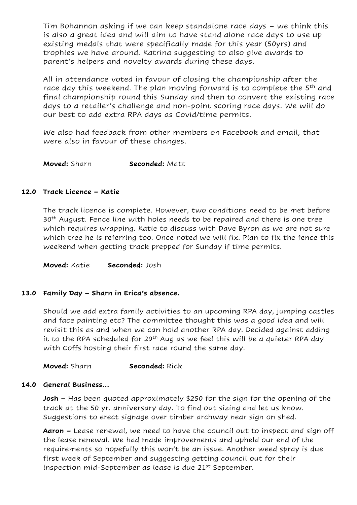Tim Bohannon asking if we can keep standalone race days – we think this is also a great idea and will aim to have stand alone race days to use up existing medals that were specifically made for this year (50yrs) and trophies we have around. Katrina suggesting to also give awards to parent's helpers and novelty awards during these days.

All in attendance voted in favour of closing the championship after the race day this weekend. The plan moving forward is to complete the 5<sup>th</sup> and final championship round this Sunday and then to convert the existing race days to a retailer's challenge and non-point scoring race days. We will do our best to add extra RPA days as Covid/time permits.

We also had feedback from other members on Facebook and email, that were also in favour of these changes.

Moved: Sharn Seconded: Matt

# 12.0 Track Licence – Katie

The track licence is complete. However, two conditions need to be met before 30<sup>th</sup> August. Fence line with holes needs to be repaired and there is one tree which requires wrapping. Katie to discuss with Dave Byron as we are not sure which tree he is referring too. Once noted we will fix. Plan to fix the fence this weekend when getting track prepped for Sunday if time permits.

Moved: Katie Seconded: Josh

# 13.0 Family Day – Sharn in Erica's absence.

Should we add extra family activities to an upcoming RPA day, jumping castles and face painting etc? The committee thought this was a good idea and will revisit this as and when we can hold another RPA day. Decided against adding it to the RPA scheduled for 29<sup>th</sup> Aug as we feel this will be a quieter RPA day with Coffs hosting their first race round the same day.

**Moved:** Sharn Seconded: Rick

# 14.0 General Business…

**Josh –** Has been quoted approximately \$250 for the sign for the opening of the track at the 50 yr. anniversary day. To find out sizing and let us know. Suggestions to erect signage over timber archway near sign on shed.

Aaron – Lease renewal, we need to have the council out to inspect and sign off the lease renewal. We had made improvements and upheld our end of the requirements so hopefully this won't be an issue. Another weed spray is due first week of September and suggesting getting council out for their inspection mid-September as lease is due 21<sup>st</sup> September.